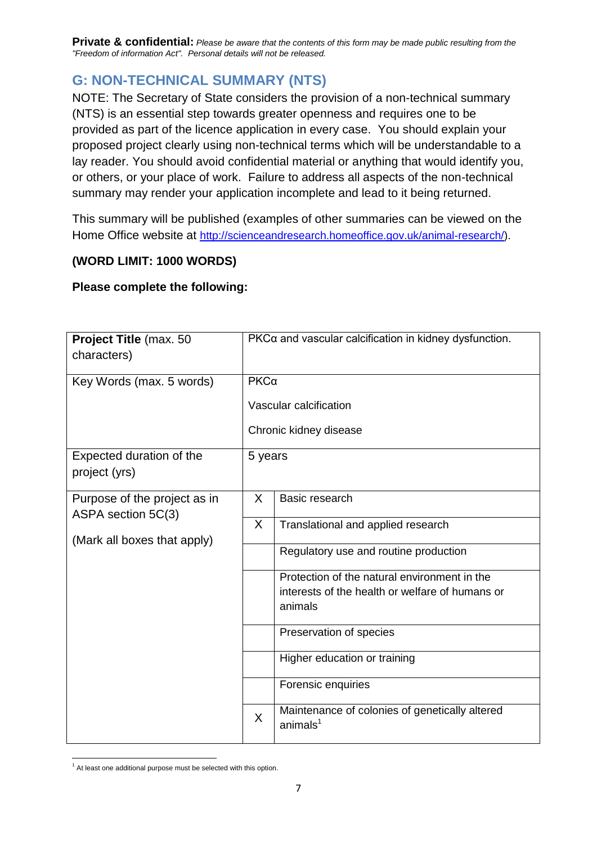## **G: NON-TECHNICAL SUMMARY (NTS)**

NOTE: The Secretary of State considers the provision of a non-technical summary (NTS) is an essential step towards greater openness and requires one to be provided as part of the licence application in every case. You should explain your proposed project clearly using non-technical terms which will be understandable to a lay reader. You should avoid confidential material or anything that would identify you, or others, or your place of work. Failure to address all aspects of the non-technical summary may render your application incomplete and lead to it being returned.

This summary will be published (examples of other summaries can be viewed on the Home Office website at [http://scienceandresearch.homeoffice.gov.uk/animal-research/\)](http://scienceandresearch.homeoffice.gov.uk/animal-research/).

## **(WORD LIMIT: 1000 WORDS)**

## **Please complete the following:**

| Project Title (max. 50<br>characters)                                             |                        | PKCa and vascular calcification in kidney dysfunction.                                                     |  |  |  |  |
|-----------------------------------------------------------------------------------|------------------------|------------------------------------------------------------------------------------------------------------|--|--|--|--|
|                                                                                   |                        |                                                                                                            |  |  |  |  |
| Key Words (max. 5 words)                                                          | $PKC\alpha$            |                                                                                                            |  |  |  |  |
|                                                                                   | Vascular calcification |                                                                                                            |  |  |  |  |
|                                                                                   | Chronic kidney disease |                                                                                                            |  |  |  |  |
| Expected duration of the<br>project (yrs)                                         | 5 years                |                                                                                                            |  |  |  |  |
| Purpose of the project as in<br>ASPA section 5C(3)<br>(Mark all boxes that apply) | X                      | Basic research                                                                                             |  |  |  |  |
|                                                                                   | X.                     | Translational and applied research                                                                         |  |  |  |  |
|                                                                                   |                        | Regulatory use and routine production                                                                      |  |  |  |  |
|                                                                                   |                        | Protection of the natural environment in the<br>interests of the health or welfare of humans or<br>animals |  |  |  |  |
|                                                                                   |                        | Preservation of species                                                                                    |  |  |  |  |
|                                                                                   |                        | Higher education or training                                                                               |  |  |  |  |
|                                                                                   |                        | Forensic enquiries                                                                                         |  |  |  |  |
|                                                                                   | $\mathsf{X}$           | Maintenance of colonies of genetically altered<br>animals <sup>1</sup>                                     |  |  |  |  |

 $1$  At least one additional purpose must be selected with this option.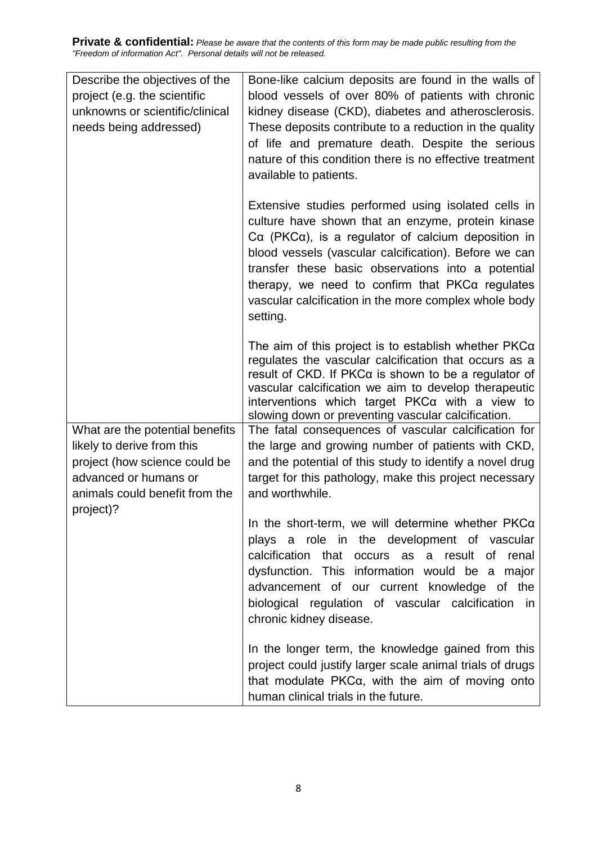| Describe the objectives of the<br>project (e.g. the scientific<br>unknowns or scientific/clinical<br>needs being addressed)                               | Bone-like calcium deposits are found in the walls of<br>blood vessels of over 80% of patients with chronic<br>kidney disease (CKD), diabetes and atherosclerosis.<br>These deposits contribute to a reduction in the quality<br>of life and premature death. Despite the serious<br>nature of this condition there is no effective treatment<br>available to patients.                                                  |  |  |
|-----------------------------------------------------------------------------------------------------------------------------------------------------------|-------------------------------------------------------------------------------------------------------------------------------------------------------------------------------------------------------------------------------------------------------------------------------------------------------------------------------------------------------------------------------------------------------------------------|--|--|
|                                                                                                                                                           | Extensive studies performed using isolated cells in<br>culture have shown that an enzyme, protein kinase<br>$Ca$ (PKC $\alpha$ ), is a regulator of calcium deposition in<br>blood vessels (vascular calcification). Before we can<br>transfer these basic observations into a potential<br>therapy, we need to confirm that $PKC\alpha$ regulates<br>vascular calcification in the more complex whole body<br>setting. |  |  |
|                                                                                                                                                           | The aim of this project is to establish whether $PKC\alpha$<br>regulates the vascular calcification that occurs as a<br>result of CKD. If $PKCa$ is shown to be a regulator of<br>vascular calcification we aim to develop therapeutic<br>interventions which target $PKC\alpha$ with a view to<br>slowing down or preventing vascular calcification.                                                                   |  |  |
| What are the potential benefits<br>likely to derive from this<br>project (how science could be<br>advanced or humans or<br>animals could benefit from the | The fatal consequences of vascular calcification for<br>the large and growing number of patients with CKD,<br>and the potential of this study to identify a novel drug<br>target for this pathology, make this project necessary<br>and worthwhile.                                                                                                                                                                     |  |  |
| project)?                                                                                                                                                 | In the short-term, we will determine whether PKCa<br>plays a role in the development of vascular<br>calcification that occurs as a result of<br>renal<br>dysfunction. This information would be a major<br>advancement of our current knowledge of the<br>biological regulation of vascular calcification in<br>chronic kidney disease.                                                                                 |  |  |
|                                                                                                                                                           | In the longer term, the knowledge gained from this<br>project could justify larger scale animal trials of drugs<br>that modulate PKCa, with the aim of moving onto<br>human clinical trials in the future.                                                                                                                                                                                                              |  |  |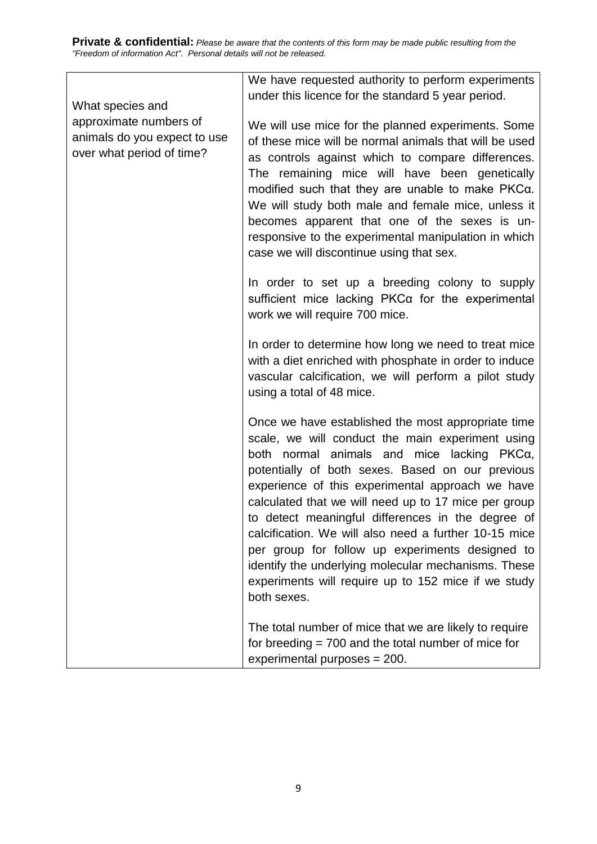| What species and<br>approximate numbers of<br>animals do you expect to use<br>over what period of time? | We have requested authority to perform experiments<br>under this licence for the standard 5 year period.                                                                                                                                                                                                                                                                                                                                                                                                                                                                                                           |
|---------------------------------------------------------------------------------------------------------|--------------------------------------------------------------------------------------------------------------------------------------------------------------------------------------------------------------------------------------------------------------------------------------------------------------------------------------------------------------------------------------------------------------------------------------------------------------------------------------------------------------------------------------------------------------------------------------------------------------------|
|                                                                                                         | We will use mice for the planned experiments. Some<br>of these mice will be normal animals that will be used<br>as controls against which to compare differences.<br>The remaining mice will have been genetically<br>modified such that they are unable to make PKCa.<br>We will study both male and female mice, unless it<br>becomes apparent that one of the sexes is un-<br>responsive to the experimental manipulation in which<br>case we will discontinue using that sex.                                                                                                                                  |
|                                                                                                         | In order to set up a breeding colony to supply<br>sufficient mice lacking PKCa for the experimental<br>work we will require 700 mice.                                                                                                                                                                                                                                                                                                                                                                                                                                                                              |
|                                                                                                         | In order to determine how long we need to treat mice<br>with a diet enriched with phosphate in order to induce<br>vascular calcification, we will perform a pilot study<br>using a total of 48 mice.                                                                                                                                                                                                                                                                                                                                                                                                               |
|                                                                                                         | Once we have established the most appropriate time<br>scale, we will conduct the main experiment using<br>both normal animals and mice lacking PKCα,<br>potentially of both sexes. Based on our previous<br>experience of this experimental approach we have<br>calculated that we will need up to 17 mice per group<br>to detect meaningful differences in the degree of<br>calcification. We will also need a further 10-15 mice<br>per group for follow up experiments designed to<br>identify the underlying molecular mechanisms. These<br>experiments will require up to 152 mice if we study<br>both sexes. |
|                                                                                                         | The total number of mice that we are likely to require<br>for breeding $= 700$ and the total number of mice for<br>experimental purposes = 200.                                                                                                                                                                                                                                                                                                                                                                                                                                                                    |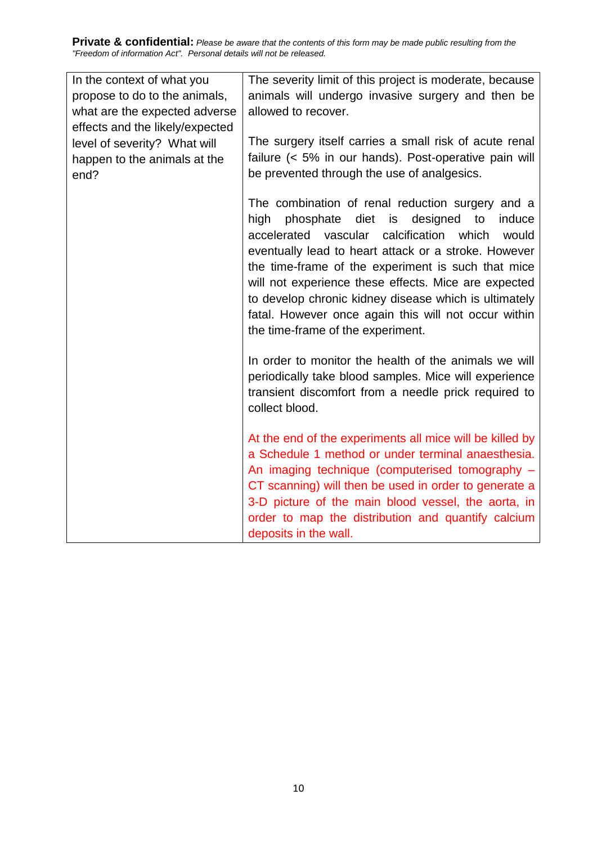| In the context of what you      | The severity limit of this project is moderate, because  |
|---------------------------------|----------------------------------------------------------|
| propose to do to the animals,   | animals will undergo invasive surgery and then be        |
| what are the expected adverse   | allowed to recover.                                      |
| effects and the likely/expected |                                                          |
| level of severity? What will    | The surgery itself carries a small risk of acute renal   |
| happen to the animals at the    | failure (< 5% in our hands). Post-operative pain will    |
| end?                            | be prevented through the use of analgesics.              |
|                                 |                                                          |
|                                 | The combination of renal reduction surgery and a         |
|                                 | phosphate diet is designed<br>to<br>high<br>induce       |
|                                 | calcification<br>which<br>accelerated vascular<br>would  |
|                                 | eventually lead to heart attack or a stroke. However     |
|                                 | the time-frame of the experiment is such that mice       |
|                                 | will not experience these effects. Mice are expected     |
|                                 |                                                          |
|                                 | to develop chronic kidney disease which is ultimately    |
|                                 | fatal. However once again this will not occur within     |
|                                 | the time-frame of the experiment.                        |
|                                 |                                                          |
|                                 | In order to monitor the health of the animals we will    |
|                                 | periodically take blood samples. Mice will experience    |
|                                 | transient discomfort from a needle prick required to     |
|                                 | collect blood.                                           |
|                                 |                                                          |
|                                 | At the end of the experiments all mice will be killed by |
|                                 | a Schedule 1 method or under terminal anaesthesia.       |
|                                 | An imaging technique (computerised tomography -          |
|                                 | CT scanning) will then be used in order to generate a    |
|                                 | 3-D picture of the main blood vessel, the aorta, in      |
|                                 | order to map the distribution and quantify calcium       |
|                                 |                                                          |
|                                 | deposits in the wall.                                    |